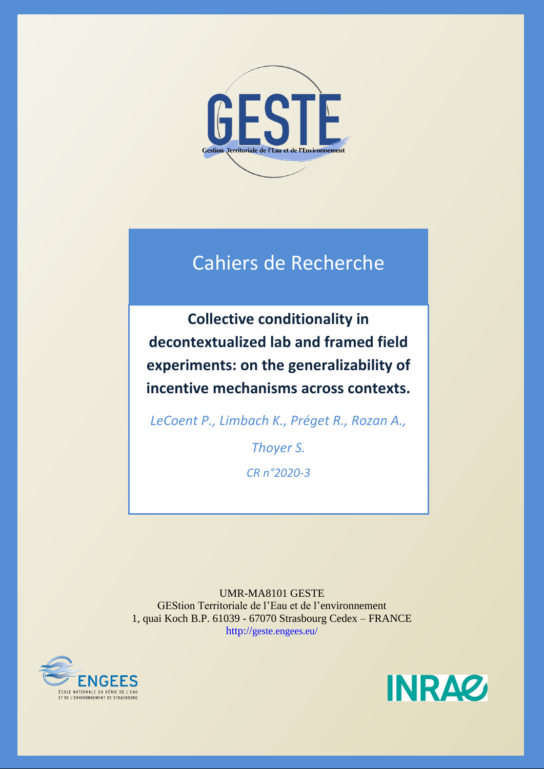

# Cahiers de Recherche

**Collective conditionality in decontextualized lab and framed field experiments: on the generalizability of incentive mechanisms across contexts.**

*LeCoent P., Limbach K., Préget R., Rozan A.,* 

*Thoyer S. CR n°2020-3*

UMR-MA8101 GESTE GEStion Territoriale de l'Eau et de l'environnement 1, quai Koch B.P. 61039 - 67070 Strasbourg Cedex – FRANCE http://geste.engees.eu/



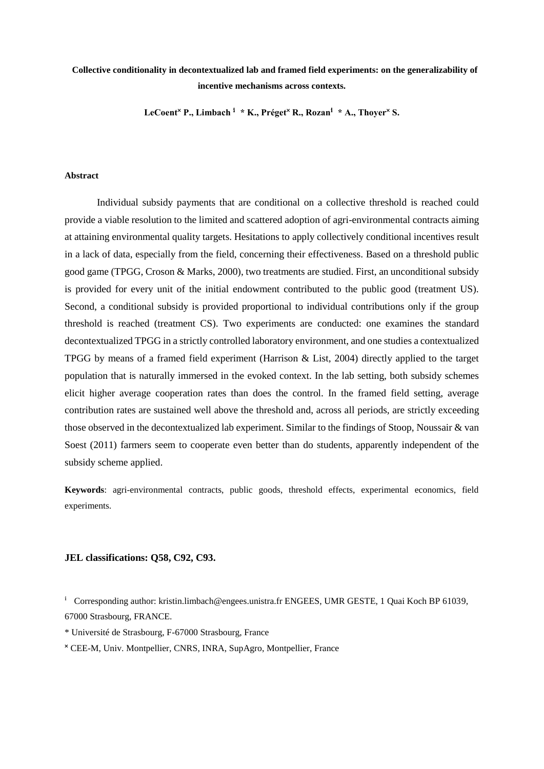### **Collective conditionality in decontextualized lab and framed field experiments: on the generalizability of incentive mechanisms across contexts.**

LeCoent<sup>x</sup> P., Limbach<sup>1</sup> \* K., Préget<sup>x</sup> R., Rozan<sup>1</sup> \* A., Thover<sup>x</sup> S.

#### **Abstract**

Individual subsidy payments that are conditional on a collective threshold is reached could provide a viable resolution to the limited and scattered adoption of agri-environmental contracts aiming at attaining environmental quality targets. Hesitations to apply collectively conditional incentives result in a lack of data, especially from the field, concerning their effectiveness. Based on a threshold public good game (TPGG, Croson & Marks, 2000), two treatments are studied. First, an unconditional subsidy is provided for every unit of the initial endowment contributed to the public good (treatment US). Second, a conditional subsidy is provided proportional to individual contributions only if the group threshold is reached (treatment CS). Two experiments are conducted: one examines the standard decontextualized TPGG in a strictly controlled laboratory environment, and one studies a contextualized TPGG by means of a framed field experiment (Harrison & List, 2004) directly applied to the target population that is naturally immersed in the evoked context. In the lab setting, both subsidy schemes elicit higher average cooperation rates than does the control. In the framed field setting, average contribution rates are sustained well above the threshold and, across all periods, are strictly exceeding those observed in the decontextualized lab experiment. Similar to the findings of Stoop, Noussair & van Soest (2011) farmers seem to cooperate even better than do students, apparently independent of the subsidy scheme applied.

**Keywords**: agri-environmental contracts, public goods, threshold effects, experimental economics, field experiments.

#### **JEL classifications: Q58, C92, C93.**

<sup>i</sup> Corresponding author: kristin.limbach@engees.unistra.fr ENGEES, UMR GESTE, 1 Quai Koch BP 61039, 67000 Strasbourg, FRANCE.

<sup>\*</sup> Université de Strasbourg, F-67000 Strasbourg, France

**<sup>˟</sup>** CEE-M, Univ. Montpellier, CNRS, INRA, SupAgro, Montpellier, France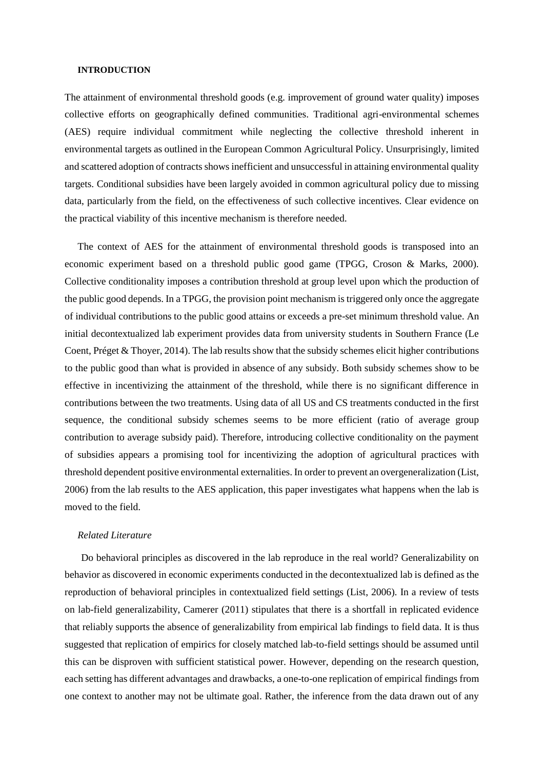#### **INTRODUCTION**

The attainment of environmental threshold goods (e.g. improvement of ground water quality) imposes collective efforts on geographically defined communities. Traditional agri-environmental schemes (AES) require individual commitment while neglecting the collective threshold inherent in environmental targets as outlined in the European Common Agricultural Policy. Unsurprisingly, limited and scattered adoption of contracts shows inefficient and unsuccessful in attaining environmental quality targets. Conditional subsidies have been largely avoided in common agricultural policy due to missing data, particularly from the field, on the effectiveness of such collective incentives. Clear evidence on the practical viability of this incentive mechanism is therefore needed.

The context of AES for the attainment of environmental threshold goods is transposed into an economic experiment based on a threshold public good game (TPGG, Croson & Marks, 2000). Collective conditionality imposes a contribution threshold at group level upon which the production of the public good depends. In a TPGG, the provision point mechanism is triggered only once the aggregate of individual contributions to the public good attains or exceeds a pre-set minimum threshold value. An initial decontextualized lab experiment provides data from university students in Southern France (Le Coent, Préget & Thoyer, 2014). The lab results show that the subsidy schemes elicit higher contributions to the public good than what is provided in absence of any subsidy. Both subsidy schemes show to be effective in incentivizing the attainment of the threshold, while there is no significant difference in contributions between the two treatments. Using data of all US and CS treatments conducted in the first sequence, the conditional subsidy schemes seems to be more efficient (ratio of average group contribution to average subsidy paid). Therefore, introducing collective conditionality on the payment of subsidies appears a promising tool for incentivizing the adoption of agricultural practices with threshold dependent positive environmental externalities. In order to prevent an overgeneralization (List, 2006) from the lab results to the AES application, this paper investigates what happens when the lab is moved to the field.

#### *Related Literature*

Do behavioral principles as discovered in the lab reproduce in the real world? Generalizability on behavior as discovered in economic experiments conducted in the decontextualized lab is defined as the reproduction of behavioral principles in contextualized field settings (List, 2006). In a review of tests on lab-field generalizability, Camerer (2011) stipulates that there is a shortfall in replicated evidence that reliably supports the absence of generalizability from empirical lab findings to field data. It is thus suggested that replication of empirics for closely matched lab-to-field settings should be assumed until this can be disproven with sufficient statistical power. However, depending on the research question, each setting has different advantages and drawbacks, a one-to-one replication of empirical findings from one context to another may not be ultimate goal. Rather, the inference from the data drawn out of any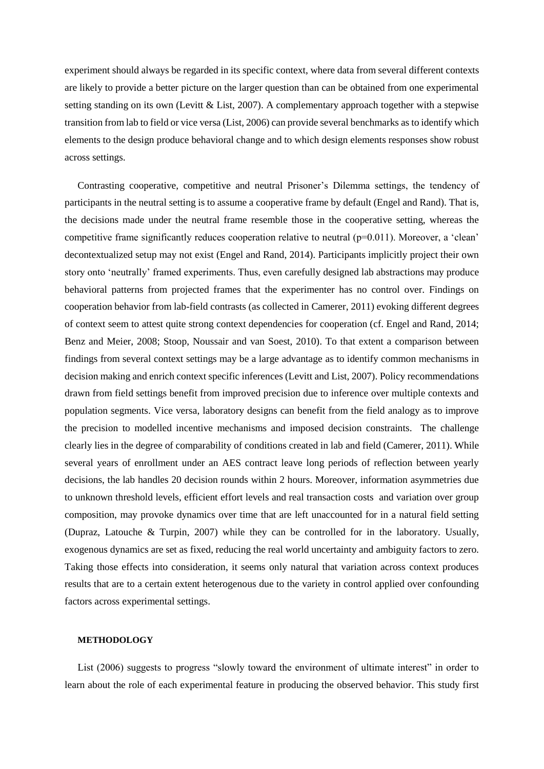experiment should always be regarded in its specific context, where data from several different contexts are likely to provide a better picture on the larger question than can be obtained from one experimental setting standing on its own (Levitt & List, 2007). A complementary approach together with a stepwise transition from lab to field or vice versa (List, 2006) can provide several benchmarks as to identify which elements to the design produce behavioral change and to which design elements responses show robust across settings.

Contrasting cooperative, competitive and neutral Prisoner's Dilemma settings, the tendency of participants in the neutral setting is to assume a cooperative frame by default (Engel and Rand). That is, the decisions made under the neutral frame resemble those in the cooperative setting, whereas the competitive frame significantly reduces cooperation relative to neutral  $(p=0.011)$ . Moreover, a 'clean' decontextualized setup may not exist (Engel and Rand, 2014). Participants implicitly project their own story onto 'neutrally' framed experiments. Thus, even carefully designed lab abstractions may produce behavioral patterns from projected frames that the experimenter has no control over. Findings on cooperation behavior from lab-field contrasts (as collected in Camerer, 2011) evoking different degrees of context seem to attest quite strong context dependencies for cooperation (cf. Engel and Rand, 2014; Benz and Meier, 2008; Stoop, Noussair and van Soest, 2010). To that extent a comparison between findings from several context settings may be a large advantage as to identify common mechanisms in decision making and enrich context specific inferences (Levitt and List, 2007). Policy recommendations drawn from field settings benefit from improved precision due to inference over multiple contexts and population segments. Vice versa, laboratory designs can benefit from the field analogy as to improve the precision to modelled incentive mechanisms and imposed decision constraints. The challenge clearly lies in the degree of comparability of conditions created in lab and field (Camerer, 2011). While several years of enrollment under an AES contract leave long periods of reflection between yearly decisions, the lab handles 20 decision rounds within 2 hours. Moreover, information asymmetries due to unknown threshold levels, efficient effort levels and real transaction costs and variation over group composition, may provoke dynamics over time that are left unaccounted for in a natural field setting (Dupraz, Latouche & Turpin, 2007) while they can be controlled for in the laboratory. Usually, exogenous dynamics are set as fixed, reducing the real world uncertainty and ambiguity factors to zero. Taking those effects into consideration, it seems only natural that variation across context produces results that are to a certain extent heterogenous due to the variety in control applied over confounding factors across experimental settings.

#### **METHODOLOGY**

List (2006) suggests to progress "slowly toward the environment of ultimate interest" in order to learn about the role of each experimental feature in producing the observed behavior. This study first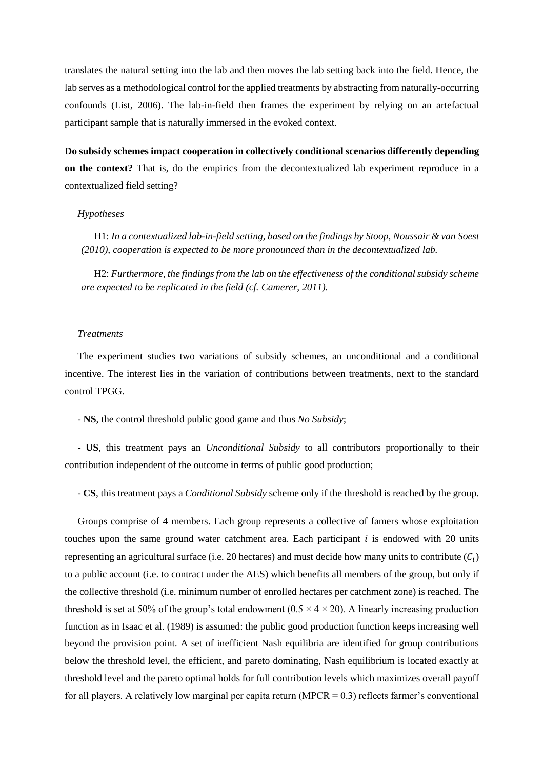translates the natural setting into the lab and then moves the lab setting back into the field. Hence, the lab serves as a methodological control for the applied treatments by abstracting from naturally-occurring confounds (List, 2006). The lab-in-field then frames the experiment by relying on an artefactual participant sample that is naturally immersed in the evoked context.

**Do subsidy schemes impact cooperation in collectively conditional scenarios differently depending on the context?** That is, do the empirics from the decontextualized lab experiment reproduce in a contextualized field setting?

#### *Hypotheses*

H1: *In a contextualized lab-in-field setting, based on the findings by Stoop, Noussair & van Soest (2010), cooperation is expected to be more pronounced than in the decontextualized lab.* 

H2: *Furthermore, the findings from the lab on the effectiveness of the conditional subsidy scheme are expected to be replicated in the field (cf. Camerer, 2011).*

#### *Treatments*

The experiment studies two variations of subsidy schemes, an unconditional and a conditional incentive. The interest lies in the variation of contributions between treatments, next to the standard control TPGG.

- **NS**, the control threshold public good game and thus *No Subsidy*;

- **US**, this treatment pays an *Unconditional Subsidy* to all contributors proportionally to their contribution independent of the outcome in terms of public good production;

- **CS**, this treatment pays a *Conditional Subsidy* scheme only if the threshold is reached by the group.

Groups comprise of 4 members. Each group represents a collective of famers whose exploitation touches upon the same ground water catchment area. Each participant  $i$  is endowed with 20 units representing an agricultural surface (i.e. 20 hectares) and must decide how many units to contribute  $(C_i)$ to a public account (i.e. to contract under the AES) which benefits all members of the group, but only if the collective threshold (i.e. minimum number of enrolled hectares per catchment zone) is reached. The threshold is set at 50% of the group's total endowment  $(0.5 \times 4 \times 20)$ . A linearly increasing production function as in Isaac et al. (1989) is assumed: the public good production function keeps increasing well beyond the provision point. A set of inefficient Nash equilibria are identified for group contributions below the threshold level, the efficient, and pareto dominating, Nash equilibrium is located exactly at threshold level and the pareto optimal holds for full contribution levels which maximizes overall payoff for all players. A relatively low marginal per capita return (MPCR =  $0.3$ ) reflects farmer's conventional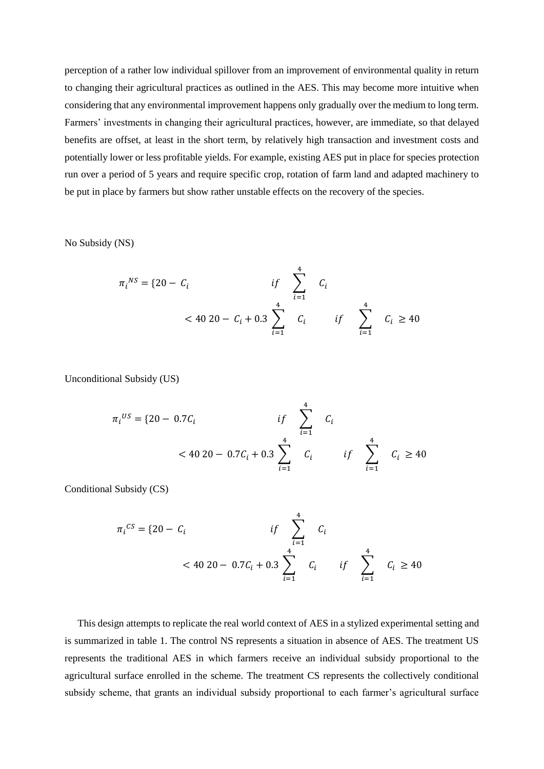perception of a rather low individual spillover from an improvement of environmental quality in return to changing their agricultural practices as outlined in the AES. This may become more intuitive when considering that any environmental improvement happens only gradually over the medium to long term. Farmers' investments in changing their agricultural practices, however, are immediate, so that delayed benefits are offset, at least in the short term, by relatively high transaction and investment costs and potentially lower or less profitable yields. For example, existing AES put in place for species protection run over a period of 5 years and require specific crop, rotation of farm land and adapted machinery to be put in place by farmers but show rather unstable effects on the recovery of the species.

No Subsidy (NS)

$$
\pi_i^{NS} = \{20 - C_i \qquad \qquad \text{if} \qquad \sum_{i=1}^4 C_i
$$
\n
$$
< 40 \, 20 - C_i + 0.3 \sum_{i=1}^4 C_i \qquad \qquad \text{if} \qquad \sum_{i=1}^4 C_i \ge 40
$$

Unconditional Subsidy (US)

$$
\pi_i^{US} = \{20 - 0.7C_i \qquad \qquad \text{if} \qquad \sum_{i=1}^4 C_i
$$
\n
$$
< 40\ 20 - 0.7C_i + 0.3 \sum_{i=1}^4 C_i \qquad \qquad \text{if} \qquad \sum_{i=1}^4 C_i \ge 40
$$

Conditional Subsidy (CS)

$$
\pi_i^{CS} = \{20 - C_i \quad if \sum_{i=1}^4 C_i
$$
  
< 40 20 - 0.7C<sub>i</sub> + 0.3  $\sum_{i=1}^4 C_i$  if  $\sum_{i=1}^4 C_i \ge 40$ 

This design attempts to replicate the real world context of AES in a stylized experimental setting and is summarized in table 1. The control NS represents a situation in absence of AES. The treatment US represents the traditional AES in which farmers receive an individual subsidy proportional to the agricultural surface enrolled in the scheme. The treatment CS represents the collectively conditional subsidy scheme, that grants an individual subsidy proportional to each farmer's agricultural surface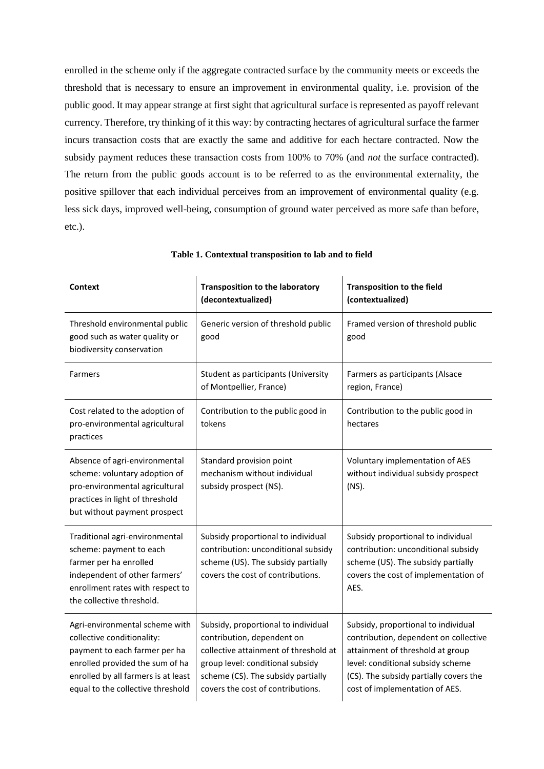enrolled in the scheme only if the aggregate contracted surface by the community meets or exceeds the threshold that is necessary to ensure an improvement in environmental quality, i.e. provision of the public good. It may appear strange at first sight that agricultural surface is represented as payoff relevant currency. Therefore, try thinking of it this way: by contracting hectares of agricultural surface the farmer incurs transaction costs that are exactly the same and additive for each hectare contracted. Now the subsidy payment reduces these transaction costs from 100% to 70% (and *not* the surface contracted). The return from the public goods account is to be referred to as the environmental externality, the positive spillover that each individual perceives from an improvement of environmental quality (e.g. less sick days, improved well-being, consumption of ground water perceived as more safe than before, etc.).

| Context                                                                                                                                                                                                      | <b>Transposition to the laboratory</b><br>(decontextualized)                                                                                                                                                              | <b>Transposition to the field</b><br>(contextualized)                                                                                                                                                                             |
|--------------------------------------------------------------------------------------------------------------------------------------------------------------------------------------------------------------|---------------------------------------------------------------------------------------------------------------------------------------------------------------------------------------------------------------------------|-----------------------------------------------------------------------------------------------------------------------------------------------------------------------------------------------------------------------------------|
| Threshold environmental public<br>good such as water quality or<br>biodiversity conservation                                                                                                                 | Generic version of threshold public<br>good                                                                                                                                                                               | Framed version of threshold public<br>good                                                                                                                                                                                        |
| Farmers                                                                                                                                                                                                      | Student as participants (University<br>of Montpellier, France)                                                                                                                                                            | Farmers as participants (Alsace<br>region, France)                                                                                                                                                                                |
| Cost related to the adoption of<br>pro-environmental agricultural<br>practices                                                                                                                               | Contribution to the public good in<br>tokens                                                                                                                                                                              | Contribution to the public good in<br>hectares                                                                                                                                                                                    |
| Absence of agri-environmental<br>scheme: voluntary adoption of<br>pro-environmental agricultural<br>practices in light of threshold<br>but without payment prospect                                          | Standard provision point<br>mechanism without individual<br>subsidy prospect (NS).                                                                                                                                        | Voluntary implementation of AES<br>without individual subsidy prospect<br>(NS).                                                                                                                                                   |
| Traditional agri-environmental<br>scheme: payment to each<br>farmer per ha enrolled<br>independent of other farmers'<br>enrollment rates with respect to<br>the collective threshold.                        | Subsidy proportional to individual<br>contribution: unconditional subsidy<br>scheme (US). The subsidy partially<br>covers the cost of contributions.                                                                      | Subsidy proportional to individual<br>contribution: unconditional subsidy<br>scheme (US). The subsidy partially<br>covers the cost of implementation of<br>AES.                                                                   |
| Agri-environmental scheme with<br>collective conditionality:<br>payment to each farmer per ha<br>enrolled provided the sum of ha<br>enrolled by all farmers is at least<br>equal to the collective threshold | Subsidy, proportional to individual<br>contribution, dependent on<br>collective attainment of threshold at<br>group level: conditional subsidy<br>scheme (CS). The subsidy partially<br>covers the cost of contributions. | Subsidy, proportional to individual<br>contribution, dependent on collective<br>attainment of threshold at group<br>level: conditional subsidy scheme<br>(CS). The subsidy partially covers the<br>cost of implementation of AES. |

**Table 1. Contextual transposition to lab and to field**

 $\mathbf{I}$ 

 $\overline{1}$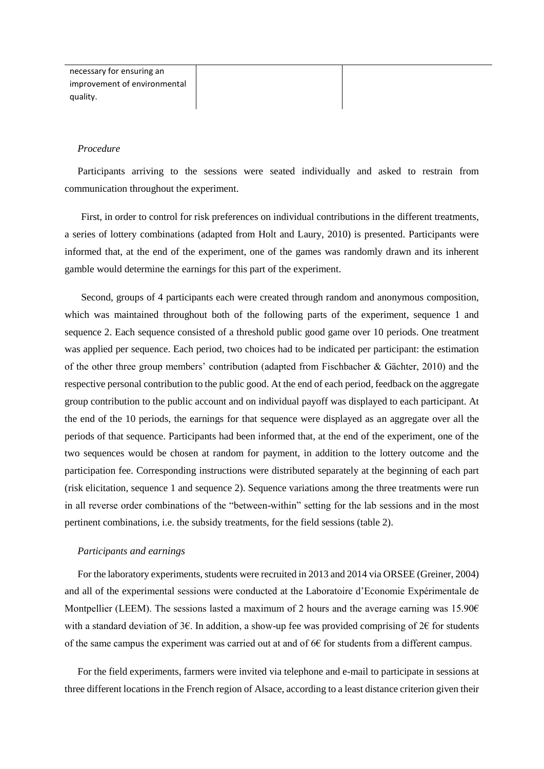| necessary for ensuring an    |  |
|------------------------------|--|
| improvement of environmental |  |
| quality.                     |  |

#### *Procedure*

Participants arriving to the sessions were seated individually and asked to restrain from communication throughout the experiment.

First, in order to control for risk preferences on individual contributions in the different treatments, a series of lottery combinations (adapted from Holt and Laury, 2010) is presented. Participants were informed that, at the end of the experiment, one of the games was randomly drawn and its inherent gamble would determine the earnings for this part of the experiment.

Second, groups of 4 participants each were created through random and anonymous composition, which was maintained throughout both of the following parts of the experiment, sequence 1 and sequence 2. Each sequence consisted of a threshold public good game over 10 periods. One treatment was applied per sequence. Each period, two choices had to be indicated per participant: the estimation of the other three group members' contribution (adapted from Fischbacher & Gächter, 2010) and the respective personal contribution to the public good. At the end of each period, feedback on the aggregate group contribution to the public account and on individual payoff was displayed to each participant. At the end of the 10 periods, the earnings for that sequence were displayed as an aggregate over all the periods of that sequence. Participants had been informed that, at the end of the experiment, one of the two sequences would be chosen at random for payment, in addition to the lottery outcome and the participation fee. Corresponding instructions were distributed separately at the beginning of each part (risk elicitation, sequence 1 and sequence 2). Sequence variations among the three treatments were run in all reverse order combinations of the "between-within" setting for the lab sessions and in the most pertinent combinations, i.e. the subsidy treatments, for the field sessions (table 2).

#### *Participants and earnings*

For the laboratory experiments, students were recruited in 2013 and 2014 via ORSEE (Greiner, 2004) and all of the experimental sessions were conducted at the Laboratoire d'Economie Expérimentale de Montpellier (LEEM). The sessions lasted a maximum of 2 hours and the average earning was 15.90 $\epsilon$ with a standard deviation of  $3\epsilon$ . In addition, a show-up fee was provided comprising of  $2\epsilon$  for students of the same campus the experiment was carried out at and of  $66$  for students from a different campus.

For the field experiments, farmers were invited via telephone and e-mail to participate in sessions at three different locations in the French region of Alsace, according to a least distance criterion given their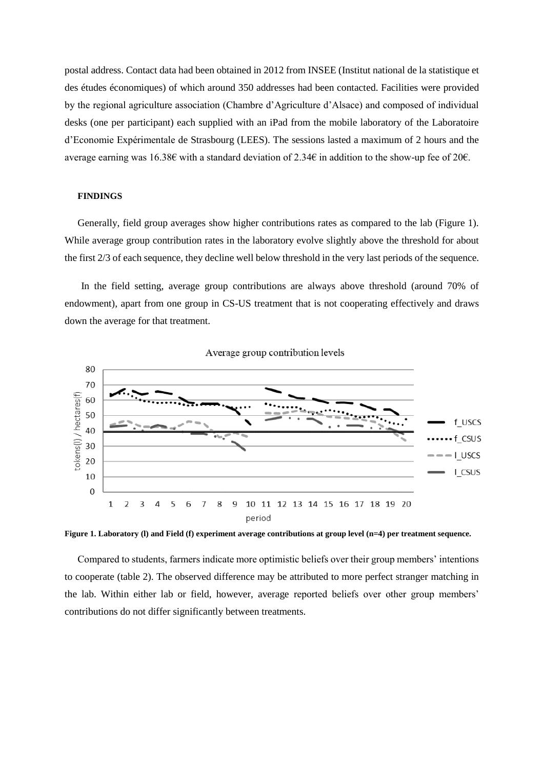postal address. Contact data had been obtained in 2012 from INSEE (Institut national de la statistique et des études économiques) of which around 350 addresses had been contacted. Facilities were provided by the regional agriculture association (Chambre d'Agriculture d'Alsace) and composed of individual desks (one per participant) each supplied with an iPad from the mobile laboratory of the Laboratoire d'Economie Expérimentale de Strasbourg (LEES). The sessions lasted a maximum of 2 hours and the average earning was 16.38€ with a standard deviation of 2.34€ in addition to the show-up fee of 20€.

#### **FINDINGS**

Generally, field group averages show higher contributions rates as compared to the lab (Figure 1). While average group contribution rates in the laboratory evolve slightly above the threshold for about the first 2/3 of each sequence, they decline well below threshold in the very last periods of the sequence.

In the field setting, average group contributions are always above threshold (around 70% of endowment), apart from one group in CS-US treatment that is not cooperating effectively and draws down the average for that treatment.





**Figure 1. Laboratory (l) and Field (f) experiment average contributions at group level (n=4) per treatment sequence.**

Compared to students, farmers indicate more optimistic beliefs over their group members' intentions to cooperate (table 2). The observed difference may be attributed to more perfect stranger matching in the lab. Within either lab or field, however, average reported beliefs over other group members' contributions do not differ significantly between treatments.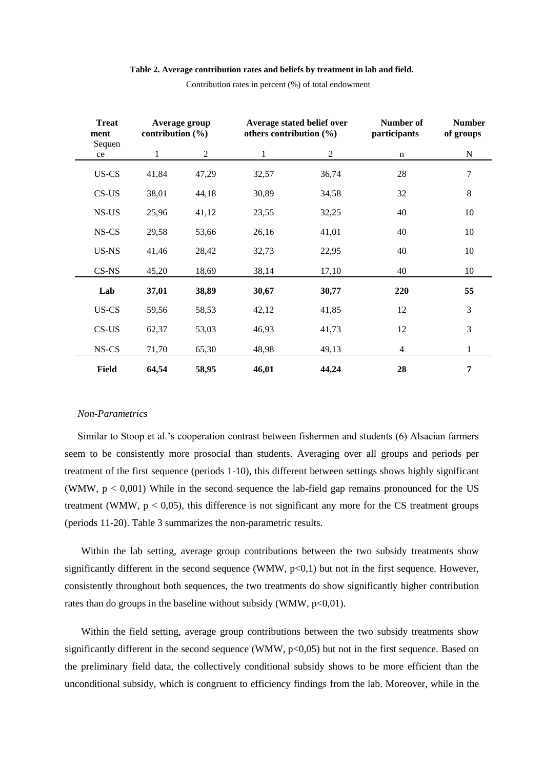#### **Table 2. Average contribution rates and beliefs by treatment in lab and field.**

| <b>Treat</b><br>ment | contribution $(\% )$ | Average group  | others contribution (%) | Average stated belief over | Number of<br>participants | <b>Number</b><br>of groups |
|----------------------|----------------------|----------------|-------------------------|----------------------------|---------------------------|----------------------------|
| Sequen<br>ce         | 1                    | $\overline{2}$ | $\mathbf{1}$            | $\overline{c}$             | n                         | N                          |
| US-CS                | 41,84                | 47,29          | 32,57                   | 36,74                      | 28                        | 7                          |
| $CS$ -US             | 38,01                | 44,18          | 30,89                   | 34,58                      | 32                        | 8                          |
| NS-US                | 25,96                | 41,12          | 23,55                   | 32,25                      | 40                        | 10                         |
| NS-CS                | 29,58                | 53,66          | 26,16                   | 41,01                      | 40                        | 10                         |
| US-NS                | 41,46                | 28,42          | 32,73                   | 22,95                      | 40                        | 10                         |
| CS-NS                | 45,20                | 18,69          | 38,14                   | 17,10                      | 40                        | 10                         |
| Lab                  | 37,01                | 38,89          | 30,67                   | 30,77                      | 220                       | 55                         |
| US-CS                | 59,56                | 58,53          | 42,12                   | 41,85                      | 12                        | 3                          |
| $CS$ -US             | 62,37                | 53,03          | 46,93                   | 41,73                      | 12                        | 3                          |
| NS-CS                | 71,70                | 65,30          | 48,98                   | 49,13                      | 4                         | $\mathbf{1}$               |
| Field                | 64,54                | 58,95          | 46,01                   | 44,24                      | 28                        | 7                          |

Contribution rates in percent (%) of total endowment

#### *Non-Parametrics*

Similar to Stoop et al.'s cooperation contrast between fishermen and students (6) Alsacian farmers seem to be consistently more prosocial than students. Averaging over all groups and periods per treatment of the first sequence (periods 1-10), this different between settings shows highly significant (WMW,  $p < 0.001$ ) While in the second sequence the lab-field gap remains pronounced for the US treatment (WMW,  $p < 0.05$ ), this difference is not significant any more for the CS treatment groups (periods 11-20). Table 3 summarizes the non-parametric results.

Within the lab setting, average group contributions between the two subsidy treatments show significantly different in the second sequence (WMW,  $p<0,1$ ) but not in the first sequence. However, consistently throughout both sequences, the two treatments do show significantly higher contribution rates than do groups in the baseline without subsidy (WMW,  $p<0,01$ ).

Within the field setting, average group contributions between the two subsidy treatments show significantly different in the second sequence (WMW,  $p<0,05$ ) but not in the first sequence. Based on the preliminary field data, the collectively conditional subsidy shows to be more efficient than the unconditional subsidy, which is congruent to efficiency findings from the lab. Moreover, while in the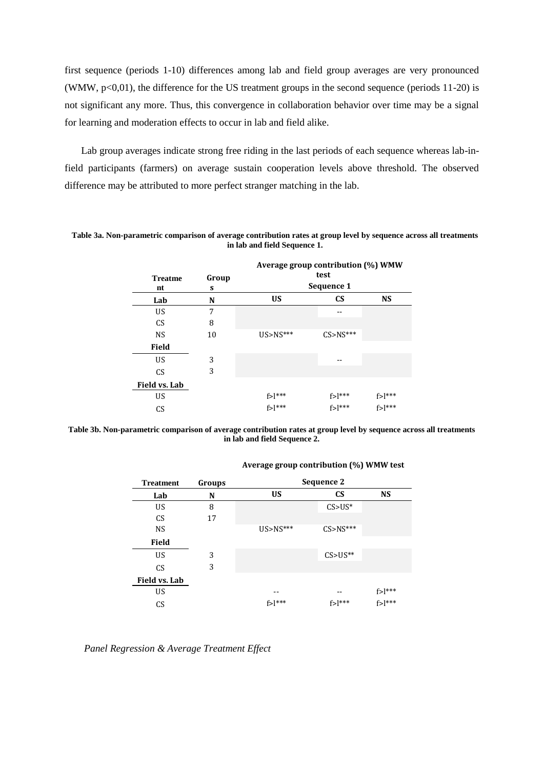first sequence (periods 1-10) differences among lab and field group averages are very pronounced (WMW,  $p<0.01$ ), the difference for the US treatment groups in the second sequence (periods 11-20) is not significant any more. Thus, this convergence in collaboration behavior over time may be a signal for learning and moderation effects to occur in lab and field alike.

Lab group averages indicate strong free riding in the last periods of each sequence whereas lab-infield participants (farmers) on average sustain cooperation levels above threshold. The observed difference may be attributed to more perfect stranger matching in the lab.

**Table 3a. Non-parametric comparison of average contribution rates at group level by sequence across all treatments in lab and field Sequence 1.**

|                |       | Average group contribution (%) WMW |               |               |  |
|----------------|-------|------------------------------------|---------------|---------------|--|
| <b>Treatme</b> | Group | test                               |               |               |  |
| nt             | S     | Sequence 1                         |               |               |  |
| Lab            | N     | <b>US</b>                          | <b>CS</b>     | <b>NS</b>     |  |
| US             | 7     |                                    |               |               |  |
| <b>CS</b>      | 8     |                                    |               |               |  |
| <b>NS</b>      | 10    | $US > NS***$                       | $C$ S>NS***   |               |  |
| <b>Field</b>   |       |                                    |               |               |  |
| US             | 3     |                                    |               |               |  |
| <b>CS</b>      | 3     |                                    |               |               |  |
| Field vs. Lab  |       |                                    |               |               |  |
| US             |       | $f > l***$                         | $f > l^{***}$ | $f > l^{***}$ |  |
| CS             |       | $f >$  ***                         | $f >$  ***    | $f >$  ***    |  |

**Table 3b. Non-parametric comparison of average contribution rates at group level by sequence across all treatments in lab and field Sequence 2.**

| <b>Treatment</b> | Groups | Sequence 2   |                      |               |  |
|------------------|--------|--------------|----------------------|---------------|--|
| Lab              | N      | <b>US</b>    | <b>CS</b>            | <b>NS</b>     |  |
| US               | 8      |              | $CS > US^*$          |               |  |
| <b>CS</b>        | 17     |              |                      |               |  |
| <b>NS</b>        |        | $US > NS***$ | $C5 > NS***$         |               |  |
| <b>Field</b>     |        |              |                      |               |  |
| US               | 3      |              | $CS > US**$          |               |  |
| CS               | 3      |              |                      |               |  |
| Field vs. Lab    |        |              |                      |               |  |
| <b>US</b>        |        | --           |                      | $f > l^{***}$ |  |
| CS               |        | $f >$  ***   | $f >$ <sup>***</sup> | $f >$  ***    |  |

#### **Average group contribution (%) WMW test**

*Panel Regression & Average Treatment Effect*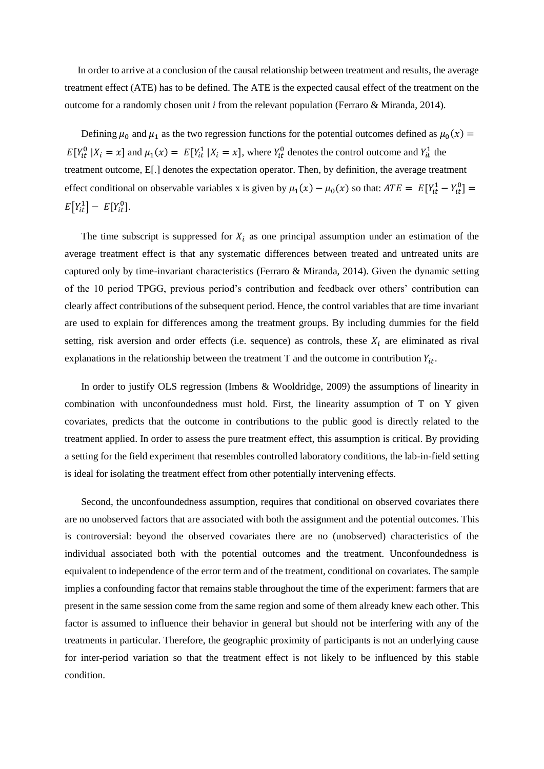In order to arrive at a conclusion of the causal relationship between treatment and results, the average treatment effect (ATE) has to be defined. The ATE is the expected causal effect of the treatment on the outcome for a randomly chosen unit *i* from the relevant population (Ferraro & Miranda, 2014).

Defining  $\mu_0$  and  $\mu_1$  as the two regression functions for the potential outcomes defined as  $\mu_0(x)$  =  $E[Y_{it}^0 | X_i = x]$  and  $\mu_1(x) = E[Y_{it}^1 | X_i = x]$ , where  $Y_{it}^0$  denotes the control outcome and  $Y_{it}^1$  the treatment outcome, E[.] denotes the expectation operator. Then, by definition, the average treatment effect conditional on observable variables x is given by  $\mu_1(x) - \mu_0(x)$  so that:  $ATE = E[Y_{it}^1 - Y_{it}^0] =$  $E[Y_{it}^1] - E[Y_{it}^0].$ 

The time subscript is suppressed for  $X_i$  as one principal assumption under an estimation of the average treatment effect is that any systematic differences between treated and untreated units are captured only by time-invariant characteristics (Ferraro & Miranda, 2014). Given the dynamic setting of the 10 period TPGG, previous period's contribution and feedback over others' contribution can clearly affect contributions of the subsequent period. Hence, the control variables that are time invariant are used to explain for differences among the treatment groups. By including dummies for the field setting, risk aversion and order effects (i.e. sequence) as controls, these  $X_i$  are eliminated as rival explanations in the relationship between the treatment T and the outcome in contribution  $Y_{it}$ .

In order to justify OLS regression (Imbens & Wooldridge, 2009) the assumptions of linearity in combination with unconfoundedness must hold. First, the linearity assumption of T on Y given covariates, predicts that the outcome in contributions to the public good is directly related to the treatment applied. In order to assess the pure treatment effect, this assumption is critical. By providing a setting for the field experiment that resembles controlled laboratory conditions, the lab-in-field setting is ideal for isolating the treatment effect from other potentially intervening effects.

Second, the unconfoundedness assumption, requires that conditional on observed covariates there are no unobserved factors that are associated with both the assignment and the potential outcomes. This is controversial: beyond the observed covariates there are no (unobserved) characteristics of the individual associated both with the potential outcomes and the treatment. Unconfoundedness is equivalent to independence of the error term and of the treatment, conditional on covariates. The sample implies a confounding factor that remains stable throughout the time of the experiment: farmers that are present in the same session come from the same region and some of them already knew each other. This factor is assumed to influence their behavior in general but should not be interfering with any of the treatments in particular. Therefore, the geographic proximity of participants is not an underlying cause for inter-period variation so that the treatment effect is not likely to be influenced by this stable condition.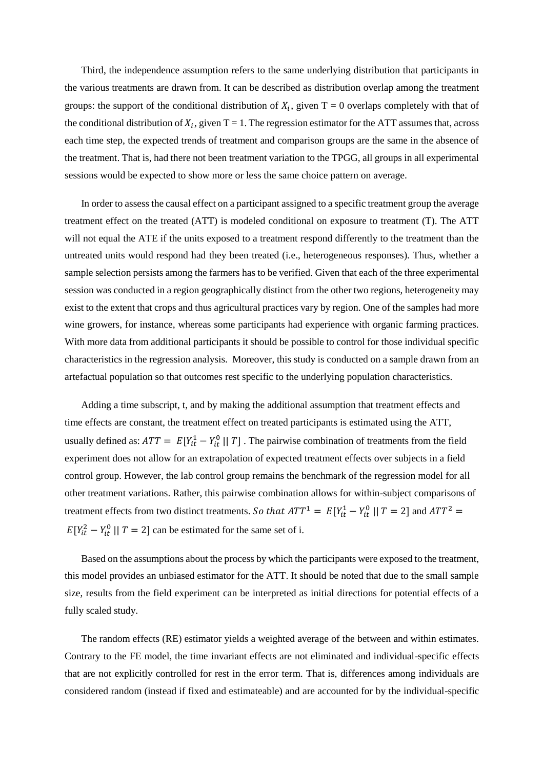Third, the independence assumption refers to the same underlying distribution that participants in the various treatments are drawn from. It can be described as distribution overlap among the treatment groups: the support of the conditional distribution of  $X_i$ , given T = 0 overlaps completely with that of the conditional distribution of  $X_i$ , given T = 1. The regression estimator for the ATT assumes that, across each time step, the expected trends of treatment and comparison groups are the same in the absence of the treatment. That is, had there not been treatment variation to the TPGG, all groups in all experimental sessions would be expected to show more or less the same choice pattern on average.

In order to assess the causal effect on a participant assigned to a specific treatment group the average treatment effect on the treated (ATT) is modeled conditional on exposure to treatment (T). The ATT will not equal the ATE if the units exposed to a treatment respond differently to the treatment than the untreated units would respond had they been treated (i.e., heterogeneous responses). Thus, whether a sample selection persists among the farmers has to be verified. Given that each of the three experimental session was conducted in a region geographically distinct from the other two regions, heterogeneity may exist to the extent that crops and thus agricultural practices vary by region. One of the samples had more wine growers, for instance, whereas some participants had experience with organic farming practices. With more data from additional participants it should be possible to control for those individual specific characteristics in the regression analysis. Moreover, this study is conducted on a sample drawn from an artefactual population so that outcomes rest specific to the underlying population characteristics.

Adding a time subscript, t, and by making the additional assumption that treatment effects and time effects are constant, the treatment effect on treated participants is estimated using the ATT, usually defined as:  $ATT = E[Y_{it}^1 - Y_{it}^0 \mid T]$ . The pairwise combination of treatments from the field experiment does not allow for an extrapolation of expected treatment effects over subjects in a field control group. However, the lab control group remains the benchmark of the regression model for all other treatment variations. Rather, this pairwise combination allows for within-subject comparisons of treatment effects from two distinct treatments. So that  $ATT^1 = E[Y_{it}^1 - Y_{it}^0 \mid T = 2]$  and  $ATT^2 =$  $E[Y_{it}^2 - Y_{it}^0 \mid T = 2]$  can be estimated for the same set of i.

Based on the assumptions about the process by which the participants were exposed to the treatment, this model provides an unbiased estimator for the ATT. It should be noted that due to the small sample size, results from the field experiment can be interpreted as initial directions for potential effects of a fully scaled study.

The random effects (RE) estimator yields a weighted average of the between and within estimates. Contrary to the FE model, the time invariant effects are not eliminated and individual-specific effects that are not explicitly controlled for rest in the error term. That is, differences among individuals are considered random (instead if fixed and estimateable) and are accounted for by the individual-specific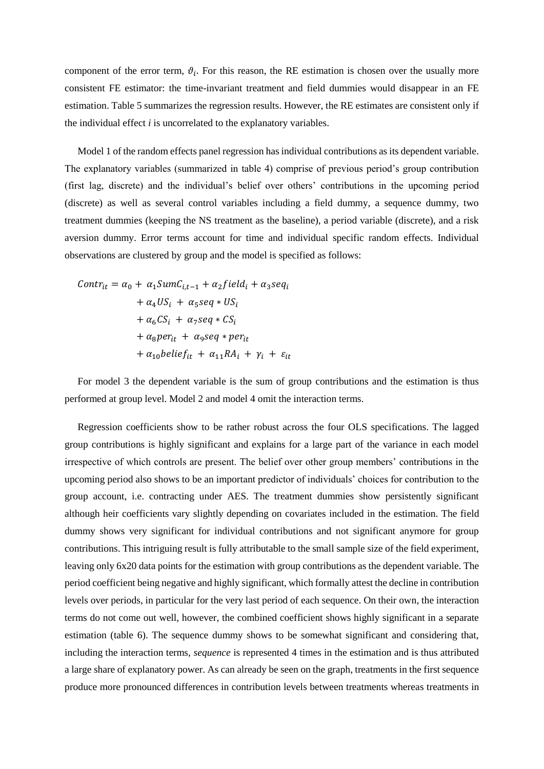component of the error term,  $\vartheta_i$ . For this reason, the RE estimation is chosen over the usually more consistent FE estimator: the time-invariant treatment and field dummies would disappear in an FE estimation. Table 5 summarizes the regression results. However, the RE estimates are consistent only if the individual effect *i* is uncorrelated to the explanatory variables.

Model 1 of the random effects panel regression has individual contributions as its dependent variable. The explanatory variables (summarized in table 4) comprise of previous period's group contribution (first lag, discrete) and the individual's belief over others' contributions in the upcoming period (discrete) as well as several control variables including a field dummy, a sequence dummy, two treatment dummies (keeping the NS treatment as the baseline), a period variable (discrete), and a risk aversion dummy. Error terms account for time and individual specific random effects. Individual observations are clustered by group and the model is specified as follows:

$$
Contr_{it} = \alpha_0 + \alpha_1 SumC_{i,t-1} + \alpha_2 field_i + \alpha_3 seq_i
$$
  
+  $\alpha_4 US_i + \alpha_5 seq * US_i$   
+  $\alpha_6 CS_i + \alpha_7 seq * CS_i$   
+  $\alpha_8 per_{it} + \alpha_9 seq * per_{it}$   
+  $\alpha_{10} belief_{it} + \alpha_{11} RA_i + \gamma_i + \varepsilon_{it}$ 

For model 3 the dependent variable is the sum of group contributions and the estimation is thus performed at group level. Model 2 and model 4 omit the interaction terms.

Regression coefficients show to be rather robust across the four OLS specifications. The lagged group contributions is highly significant and explains for a large part of the variance in each model irrespective of which controls are present. The belief over other group members' contributions in the upcoming period also shows to be an important predictor of individuals' choices for contribution to the group account, i.e. contracting under AES. The treatment dummies show persistently significant although heir coefficients vary slightly depending on covariates included in the estimation. The field dummy shows very significant for individual contributions and not significant anymore for group contributions. This intriguing result is fully attributable to the small sample size of the field experiment, leaving only 6x20 data points for the estimation with group contributions as the dependent variable. The period coefficient being negative and highly significant, which formally attest the decline in contribution levels over periods, in particular for the very last period of each sequence. On their own, the interaction terms do not come out well, however, the combined coefficient shows highly significant in a separate estimation (table 6). The sequence dummy shows to be somewhat significant and considering that, including the interaction terms, *sequence* is represented 4 times in the estimation and is thus attributed a large share of explanatory power. As can already be seen on the graph, treatments in the first sequence produce more pronounced differences in contribution levels between treatments whereas treatments in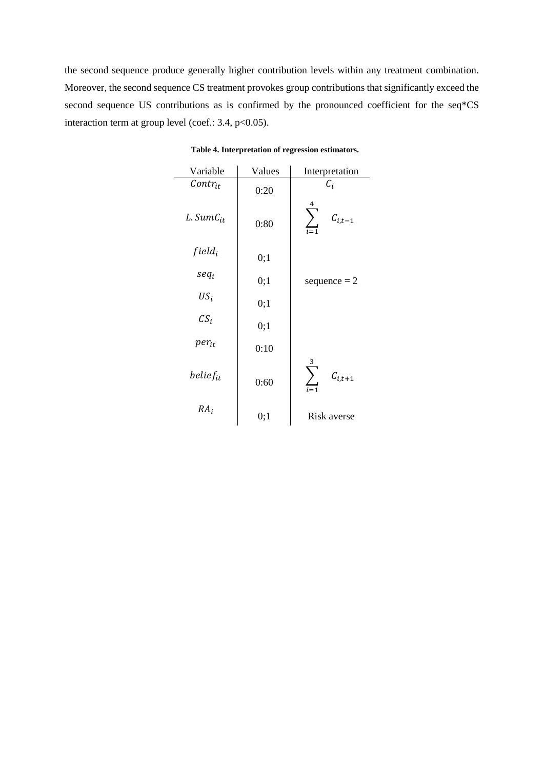the second sequence produce generally higher contribution levels within any treatment combination. Moreover, the second sequence CS treatment provokes group contributions that significantly exceed the second sequence US contributions as is confirmed by the pronounced coefficient for the seq\*CS interaction term at group level (coef.: 3.4, p<0.05).

| Variable       | Values | Interpretation   |  |
|----------------|--------|------------------|--|
| $Contr_{it}$   | 0:20   | $\mathcal{C}_i$  |  |
| $L. SumC_{it}$ | 0:80   | 4<br>$C_{i,t-1}$ |  |
| $field_i$      | 0;1    |                  |  |
| $seq_i$        | 0;1    | sequence $= 2$   |  |
| $US_i$         | 0;1    |                  |  |
| $CS_i$         | 0;1    |                  |  |
| $per_{it}$     | 0:10   |                  |  |
| $belief_{it}$  | 0:60   | $C_{i,t+1}$      |  |
| $RA_i$         | 0:1    | Risk averse      |  |

**Table 4. Interpretation of regression estimators.**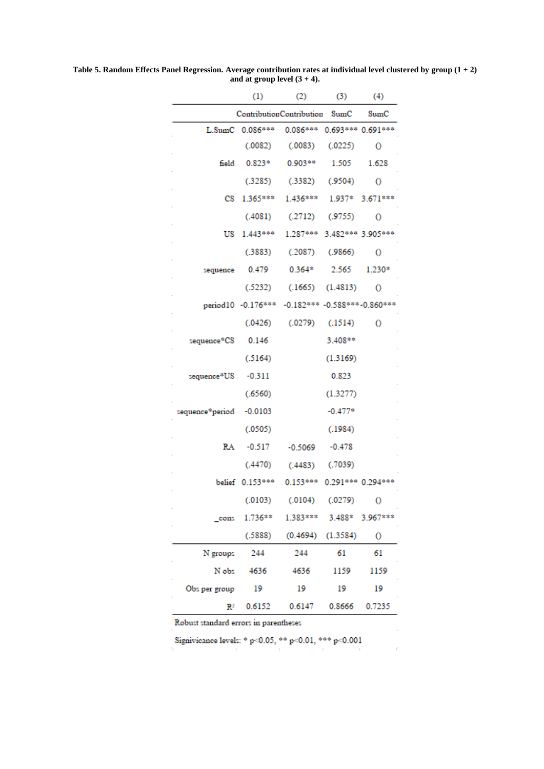|                 | (1)               | (2)                                              | (3)                  | (4)                |
|-----------------|-------------------|--------------------------------------------------|----------------------|--------------------|
|                 |                   | ContributionContribution                         | SumC                 | $_{\rm SumC}$      |
|                 | L.SumC 0.086***   | $0.086***$                                       |                      | 0.693*** 0.691***  |
|                 | (.0082)           | (.0083)                                          | (.0225)              | О                  |
| field           | $0.823*$          | $0.903**$                                        | 1.505                | 1.628              |
|                 | (.3285)           | (.3382)                                          | (.9504)              | О                  |
| CS.             | 1.365***          | 1.436***                                         | 1.937*               | $3.671***$         |
|                 | (.4081)           | $(.2712)$ $(.9755)$                              |                      | O                  |
| US              | $1.443***$        | 1.287*** 3.482*** 3.905***                       |                      |                    |
|                 | (.3883)           | (.2087)                                          | (.9866)              | O                  |
| sequence        | 0.479             | $0.364*$                                         | 2.565                | 1.230*             |
|                 | (.5232)           |                                                  | $(.1665)$ $(1.4813)$ | O                  |
|                 |                   | period10 -0.176*** -0.182*** -0.588*** -0.860*** |                      |                    |
|                 | (.0426)           | $(.0279)$ $(.1514)$                              |                      | О                  |
| sequence*CS     | 0.146             |                                                  | $3.408**$            |                    |
|                 | (.5164)           |                                                  | (1.3169)             |                    |
| sequence*US     | $-0.311$          |                                                  | 0.823                |                    |
|                 | (.6560)           |                                                  | (1.3277)             |                    |
| sequence*period | $-0.0103$         |                                                  | $-0.477*$            |                    |
|                 | (.0505)           |                                                  | (.1984)              |                    |
| RA              | $-0.517$          | $-0.5069$                                        | $-0.478$             |                    |
|                 | (.4470)           | (.4483)                                          | (.7039)              |                    |
|                 | belief $0.153***$ | $0.153***$                                       |                      | $0.291***0.294***$ |
|                 | (.0103)           | (.0104)                                          | (.0279)              | О                  |
| cons            | 1.736**           | 1.383***                                         | 3.488*               | 3.967***           |
|                 | (.5888)           | (0.4694)                                         | (1.3584)             | 0                  |
| N groups        | 244               | 244                                              | 61                   | 61                 |
| N obs           | 4636              | 4636                                             | 1159                 | 1159               |
| Obs per group   | 19                | 19                                               | 19                   | 19                 |
| $\mathbb{R}^2$  | 0.6152            | 0.6147                                           | 0.8666               | 0.7235             |

**Table 5. Random Effects Panel Regression. Average contribution rates at individual level clustered by group (1 + 2)**  and at group level  $(3 + 4)$ .

Robust standard errors in parentheses

Signivicance levels: \* p<0.05, \*\* p<0.01, \*\*\* p<0.001

 $\bar{r}$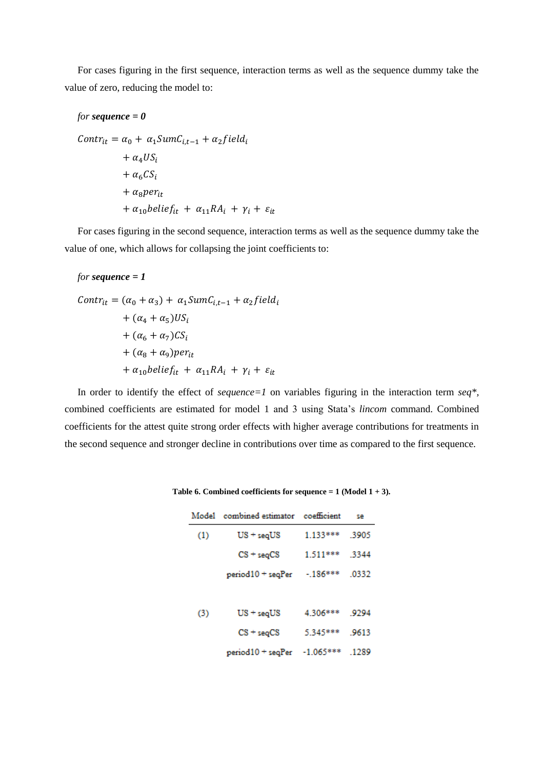For cases figuring in the first sequence, interaction terms as well as the sequence dummy take the value of zero, reducing the model to:

$$
for sequence = 0
$$
  
\n
$$
Contr_{it} = \alpha_0 + \alpha_1 SumC_{i,t-1} + \alpha_2 field_i
$$
  
\n
$$
+ \alpha_4 US_i
$$
  
\n
$$
+ \alpha_6 CS_i
$$
  
\n
$$
+ \alpha_8 per_{it}
$$
  
\n
$$
+ \alpha_{10} belief_{it} + \alpha_{11} RA_i + \gamma_i + \varepsilon_{it}
$$

For cases figuring in the second sequence, interaction terms as well as the sequence dummy take the value of one, which allows for collapsing the joint coefficients to:

#### *for sequence = 1*

$$
Contr_{it} = (\alpha_0 + \alpha_3) + \alpha_1 SumC_{i,t-1} + \alpha_2 field_i
$$
  
+ (\alpha\_4 + \alpha\_5)US\_i  
+ (\alpha\_6 + \alpha\_7)CS\_i  
+ (\alpha\_8 + \alpha\_9)peri\_t  
+ \alpha\_{10} belief\_{it} + \alpha\_{11} RA\_i + \gamma\_i + \varepsilon\_{it}

In order to identify the effect of *sequence=1* on variables figuring in the interaction term *seq\*,* combined coefficients are estimated for model 1 and 3 using Stata's *lincom* command. Combined coefficients for the attest quite strong order effects with higher average contributions for treatments in the second sequence and stronger decline in contributions over time as compared to the first sequence.

|     | Model combined estimator coefficient |               | se    |
|-----|--------------------------------------|---------------|-------|
| (1) | $US + seqUS$                         | 1.133***      | .3905 |
|     | $CS + \text{seq}CS$                  | 1.511*** 3344 |       |
|     | period10 + seqPer -.186***           |               | .0332 |
|     |                                      |               |       |
| (3) | $US + \mathrm{seq}US$                | 4.306*** 9294 |       |
|     | $CS + \text{seq}CS$                  | 5.345*** 9613 |       |
|     | $period10 + seqPer -1.065***$        |               | .1289 |

**Table 6. Combined coefficients for sequence = 1 (Model 1 + 3).**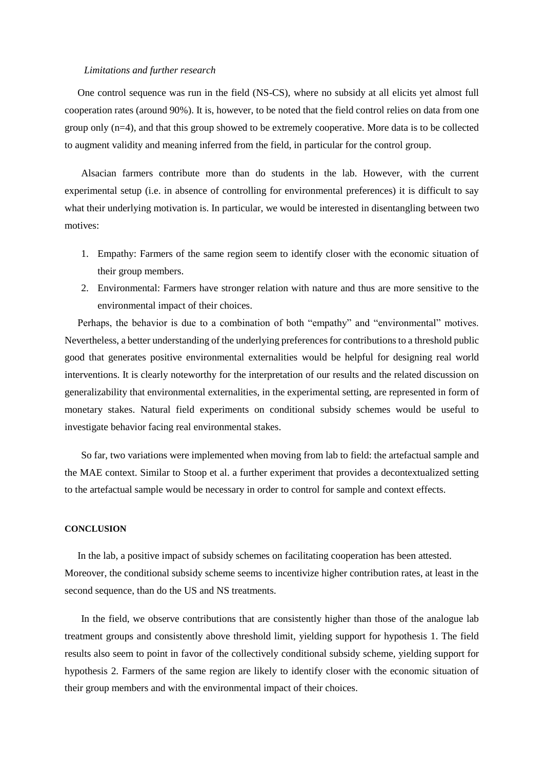#### *Limitations and further research*

One control sequence was run in the field (NS-CS), where no subsidy at all elicits yet almost full cooperation rates (around 90%). It is, however, to be noted that the field control relies on data from one group only (n=4), and that this group showed to be extremely cooperative. More data is to be collected to augment validity and meaning inferred from the field, in particular for the control group.

Alsacian farmers contribute more than do students in the lab. However, with the current experimental setup (i.e. in absence of controlling for environmental preferences) it is difficult to say what their underlying motivation is. In particular, we would be interested in disentangling between two motives:

- 1. Empathy: Farmers of the same region seem to identify closer with the economic situation of their group members.
- 2. Environmental: Farmers have stronger relation with nature and thus are more sensitive to the environmental impact of their choices.

Perhaps, the behavior is due to a combination of both "empathy" and "environmental" motives. Nevertheless, a better understanding of the underlying preferences for contributions to a threshold public good that generates positive environmental externalities would be helpful for designing real world interventions. It is clearly noteworthy for the interpretation of our results and the related discussion on generalizability that environmental externalities, in the experimental setting, are represented in form of monetary stakes. Natural field experiments on conditional subsidy schemes would be useful to investigate behavior facing real environmental stakes.

So far, two variations were implemented when moving from lab to field: the artefactual sample and the MAE context. Similar to Stoop et al. a further experiment that provides a decontextualized setting to the artefactual sample would be necessary in order to control for sample and context effects.

#### **CONCLUSION**

In the lab, a positive impact of subsidy schemes on facilitating cooperation has been attested. Moreover, the conditional subsidy scheme seems to incentivize higher contribution rates, at least in the second sequence, than do the US and NS treatments.

In the field, we observe contributions that are consistently higher than those of the analogue lab treatment groups and consistently above threshold limit, yielding support for hypothesis 1. The field results also seem to point in favor of the collectively conditional subsidy scheme, yielding support for hypothesis 2. Farmers of the same region are likely to identify closer with the economic situation of their group members and with the environmental impact of their choices.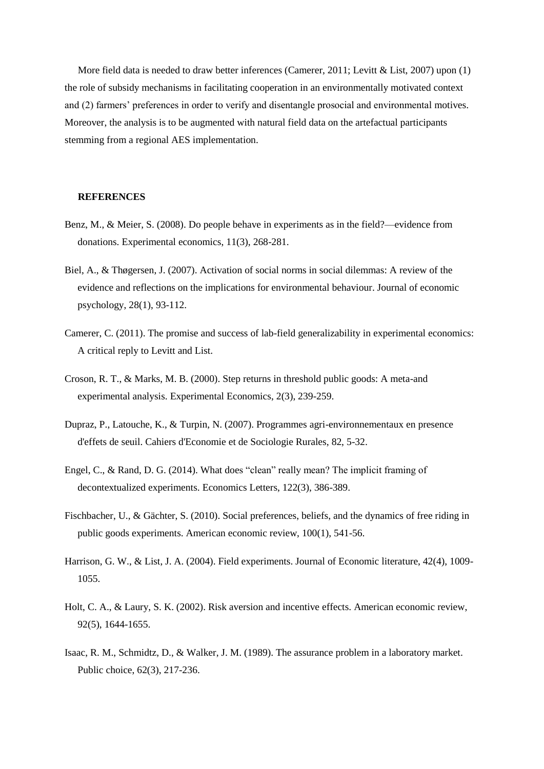More field data is needed to draw better inferences (Camerer, 2011; Levitt & List, 2007) upon (1) the role of subsidy mechanisms in facilitating cooperation in an environmentally motivated context and (2) farmers' preferences in order to verify and disentangle prosocial and environmental motives. Moreover, the analysis is to be augmented with natural field data on the artefactual participants stemming from a regional AES implementation.

#### **REFERENCES**

- Benz, M., & Meier, S. (2008). Do people behave in experiments as in the field?—evidence from donations. Experimental economics, 11(3), 268-281.
- Biel, A., & Thøgersen, J. (2007). Activation of social norms in social dilemmas: A review of the evidence and reflections on the implications for environmental behaviour. Journal of economic psychology, 28(1), 93-112.
- Camerer, C. (2011). The promise and success of lab-field generalizability in experimental economics: A critical reply to Levitt and List.
- Croson, R. T., & Marks, M. B. (2000). Step returns in threshold public goods: A meta-and experimental analysis. Experimental Economics, 2(3), 239-259.
- Dupraz, P., Latouche, K., & Turpin, N. (2007). Programmes agri-environnementaux en presence d'effets de seuil. Cahiers d'Economie et de Sociologie Rurales, 82, 5-32.
- Engel, C., & Rand, D. G. (2014). What does "clean" really mean? The implicit framing of decontextualized experiments. Economics Letters, 122(3), 386-389.
- Fischbacher, U., & Gächter, S. (2010). Social preferences, beliefs, and the dynamics of free riding in public goods experiments. American economic review, 100(1), 541-56.
- Harrison, G. W., & List, J. A. (2004). Field experiments. Journal of Economic literature, 42(4), 1009- 1055.
- Holt, C. A., & Laury, S. K. (2002). Risk aversion and incentive effects. American economic review, 92(5), 1644-1655.
- Isaac, R. M., Schmidtz, D., & Walker, J. M. (1989). The assurance problem in a laboratory market. Public choice, 62(3), 217-236.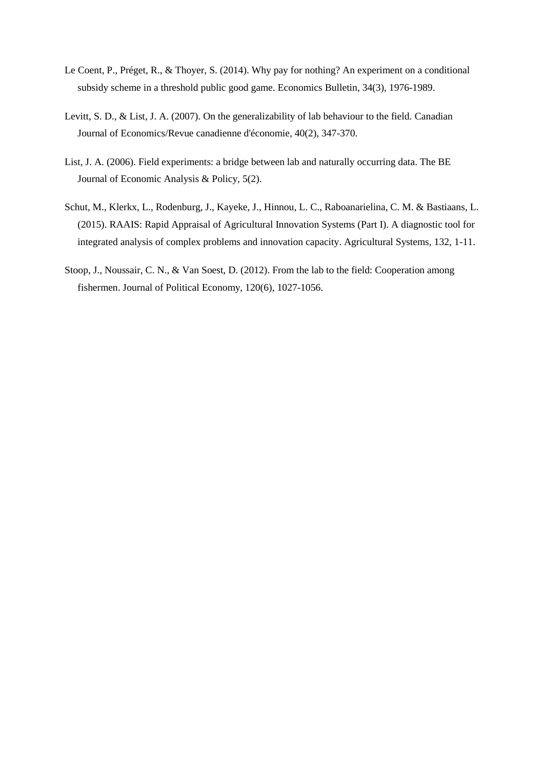- Le Coent, P., Préget, R., & Thoyer, S. (2014). Why pay for nothing? An experiment on a conditional subsidy scheme in a threshold public good game. Economics Bulletin, 34(3), 1976-1989.
- Levitt, S. D., & List, J. A. (2007). On the generalizability of lab behaviour to the field. Canadian Journal of Economics/Revue canadienne d'économie, 40(2), 347-370.
- List, J. A. (2006). Field experiments: a bridge between lab and naturally occurring data. The BE Journal of Economic Analysis & Policy, 5(2).
- Schut, M., Klerkx, L., Rodenburg, J., Kayeke, J., Hinnou, L. C., Raboanarielina, C. M. & Bastiaans, L. (2015). RAAIS: Rapid Appraisal of Agricultural Innovation Systems (Part I). A diagnostic tool for integrated analysis of complex problems and innovation capacity. Agricultural Systems, 132, 1-11.
- Stoop, J., Noussair, C. N., & Van Soest, D. (2012). From the lab to the field: Cooperation among fishermen. Journal of Political Economy, 120(6), 1027-1056.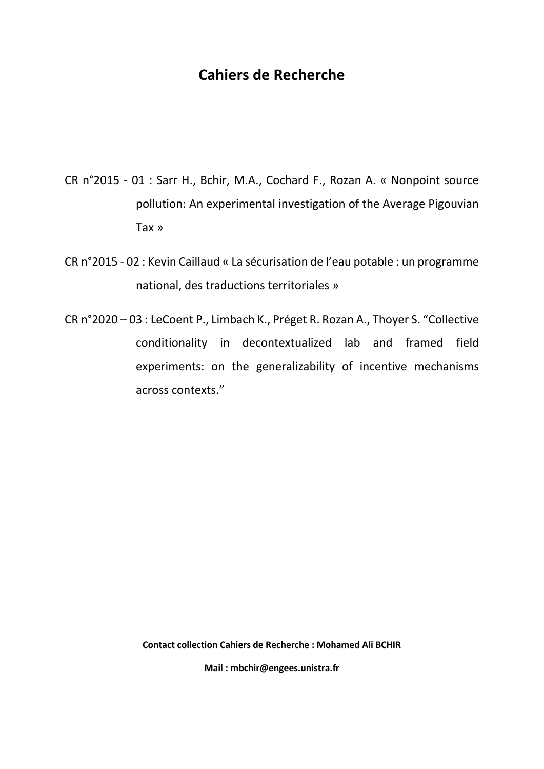## **Cahiers de Recherche**

- CR n°2015 01 : Sarr H., Bchir, M.A., Cochard F., Rozan A. « Nonpoint source pollution: An experimental investigation of the Average Pigouvian Tax »
- CR n°2015 02 : Kevin Caillaud « La sécurisation de l'eau potable : un programme national, des traductions territoriales »
- CR n°2020 03 : LeCoent P., Limbach K., Préget R. Rozan A., Thoyer S. "Collective conditionality in decontextualized lab and framed field experiments: on the generalizability of incentive mechanisms across contexts."

**Contact collection Cahiers de Recherche : Mohamed Ali BCHIR**

**Mail : mbchir@engees.unistra.fr**